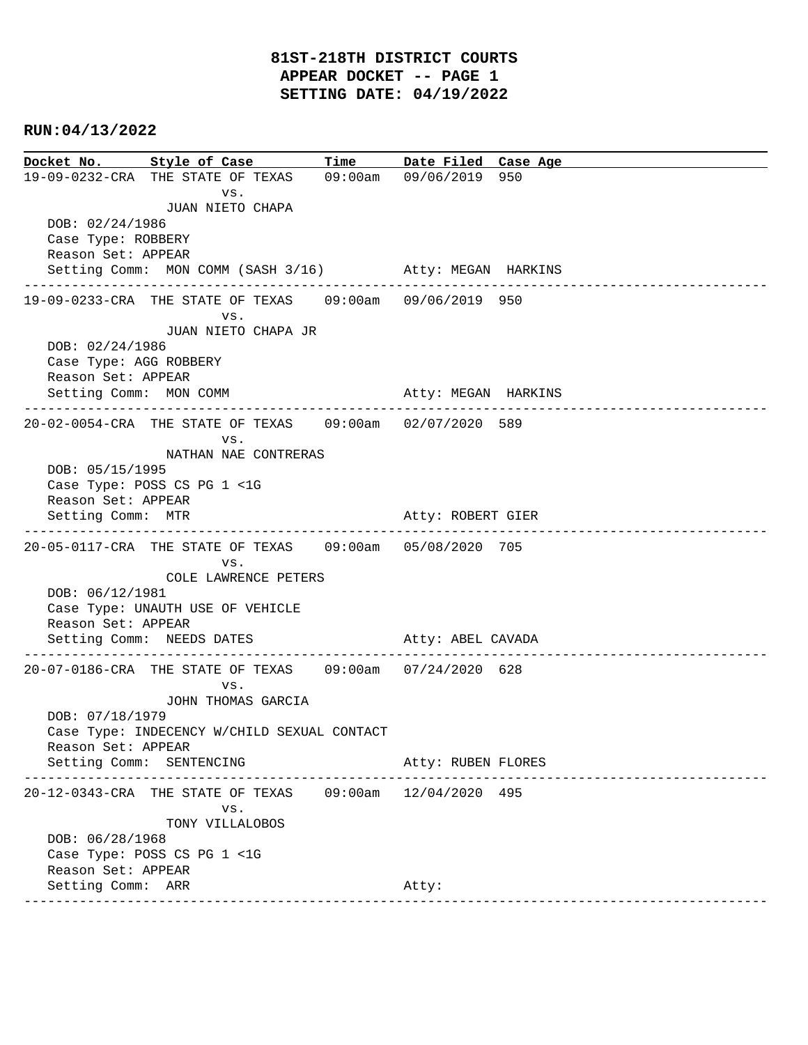## **RUN:04/13/2022**

|                                                | Docket No. Style of Case Time                            |  | Date Filed Case Age   |
|------------------------------------------------|----------------------------------------------------------|--|-----------------------|
|                                                | 19-09-0232-CRA THE STATE OF TEXAS 09:00am 09/06/2019 950 |  |                       |
|                                                | VS.                                                      |  |                       |
|                                                | JUAN NIETO CHAPA                                         |  |                       |
| DOB: 02/24/1986                                |                                                          |  |                       |
| Case Type: ROBBERY<br>Reason Set: APPEAR       |                                                          |  |                       |
|                                                | Setting Comm: MON COMM (SASH 3/16) Atty: MEGAN HARKINS   |  |                       |
|                                                |                                                          |  |                       |
|                                                | 19-09-0233-CRA THE STATE OF TEXAS 09:00am 09/06/2019 950 |  |                       |
|                                                | VS.                                                      |  |                       |
|                                                | JUAN NIETO CHAPA JR                                      |  |                       |
| DOB: 02/24/1986                                |                                                          |  |                       |
| Case Type: AGG ROBBERY<br>Reason Set: APPEAR   |                                                          |  |                       |
| Setting Comm: MON COMM                         |                                                          |  | Atty: MEGAN HARKINS   |
|                                                |                                                          |  |                       |
|                                                | 20-02-0054-CRA THE STATE OF TEXAS 09:00am 02/07/2020 589 |  |                       |
|                                                | VS.                                                      |  |                       |
|                                                | NATHAN NAE CONTRERAS                                     |  |                       |
| DOB: 05/15/1995<br>Case Type: POSS CS PG 1 <1G |                                                          |  |                       |
| Reason Set: APPEAR                             |                                                          |  |                       |
| Setting Comm: MTR                              |                                                          |  | Atty: ROBERT GIER     |
|                                                | -----------------------------------                      |  | --------------------- |
|                                                | 20-05-0117-CRA THE STATE OF TEXAS 09:00am 05/08/2020 705 |  |                       |
|                                                | VS.                                                      |  |                       |
| DOB: 06/12/1981                                | COLE LAWRENCE PETERS                                     |  |                       |
|                                                | Case Type: UNAUTH USE OF VEHICLE                         |  |                       |
| Reason Set: APPEAR                             |                                                          |  |                       |
|                                                | Setting Comm: NEEDS DATES                                |  | Atty: ABEL CAVADA     |
|                                                |                                                          |  |                       |
|                                                | 20-07-0186-CRA THE STATE OF TEXAS 09:00am 07/24/2020 628 |  |                       |
|                                                | VS.<br>JOHN THOMAS GARCIA                                |  |                       |
| DOB: 07/18/1979                                |                                                          |  |                       |
|                                                | Case Type: INDECENCY W/CHILD SEXUAL CONTACT              |  |                       |
| Reason Set: APPEAR                             |                                                          |  |                       |
|                                                | Setting Comm: SENTENCING                                 |  | Atty: RUBEN FLORES    |
|                                                |                                                          |  |                       |
|                                                | 20-12-0343-CRA THE STATE OF TEXAS 09:00am 12/04/2020 495 |  |                       |
|                                                | VS.<br>TONY VILLALOBOS                                   |  |                       |
| DOB: 06/28/1968                                |                                                          |  |                       |
|                                                | Case Type: POSS CS PG 1 <1G                              |  |                       |
| Reason Set: APPEAR                             |                                                          |  |                       |
| Setting Comm: ARR                              |                                                          |  | Atty:                 |
|                                                |                                                          |  |                       |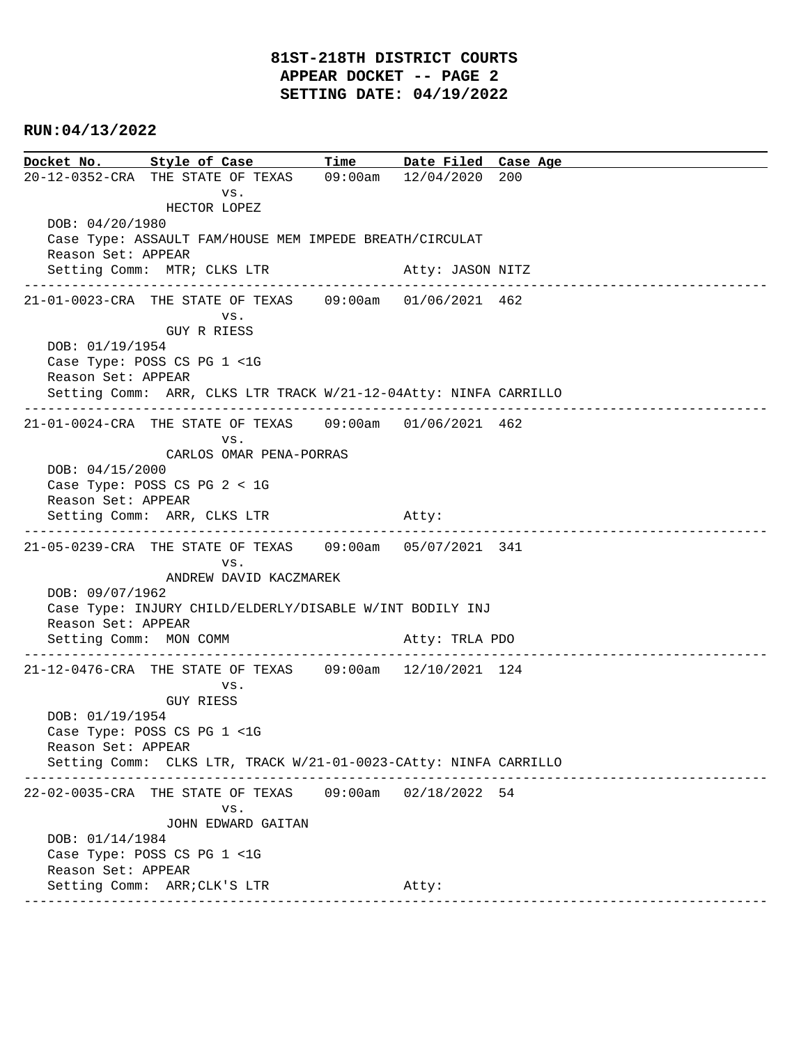### **81ST-218TH DISTRICT COURTS APPEAR DOCKET -- PAGE 2 SETTING DATE: 04/19/2022**

#### **RUN:04/13/2022**

**Docket No. Style of Case Time Date Filed Case Age**  20-12-0352-CRA THE STATE OF TEXAS 09:00am 12/04/2020 200 vs. HECTOR LOPEZ DOB: 04/20/1980 Case Type: ASSAULT FAM/HOUSE MEM IMPEDE BREATH/CIRCULAT Reason Set: APPEAR Setting Comm: MTR; CLKS LTR Atty: JASON NITZ ---------------------------------------------------------------------------------------------- 21-01-0023-CRA THE STATE OF TEXAS 09:00am 01/06/2021 462 vs. GUY R RIESS DOB: 01/19/1954 Case Type: POSS CS PG 1 <1G Reason Set: APPEAR Setting Comm: ARR, CLKS LTR TRACK W/21-12-04Atty: NINFA CARRILLO ---------------------------------------------------------------------------------------------- 21-01-0024-CRA THE STATE OF TEXAS 09:00am 01/06/2021 462 vs. CARLOS OMAR PENA-PORRAS DOB: 04/15/2000 Case Type: POSS CS PG 2 < 1G Reason Set: APPEAR Setting Comm: ARR, CLKS LTR Atty: ---------------------------------------------------------------------------------------------- 21-05-0239-CRA THE STATE OF TEXAS 09:00am 05/07/2021 341 vs. ANDREW DAVID KACZMAREK DOB: 09/07/1962 Case Type: INJURY CHILD/ELDERLY/DISABLE W/INT BODILY INJ Reason Set: APPEAR Setting Comm: MON COMM Atty: TRLA PDO ---------------------------------------------------------------------------------------------- 21-12-0476-CRA THE STATE OF TEXAS 09:00am 12/10/2021 124 vs. GUY RIESS DOB: 01/19/1954 Case Type: POSS CS PG 1 <1G Reason Set: APPEAR Setting Comm: CLKS LTR, TRACK W/21-01-0023-CAtty: NINFA CARRILLO ---------------------------------------------------------------------------------------------- 22-02-0035-CRA THE STATE OF TEXAS 09:00am 02/18/2022 54 vs. JOHN EDWARD GAITAN DOB: 01/14/1984 Case Type: POSS CS PG 1 <1G Reason Set: APPEAR Setting Comm: ARR; CLK'S LTR Atty: ----------------------------------------------------------------------------------------------